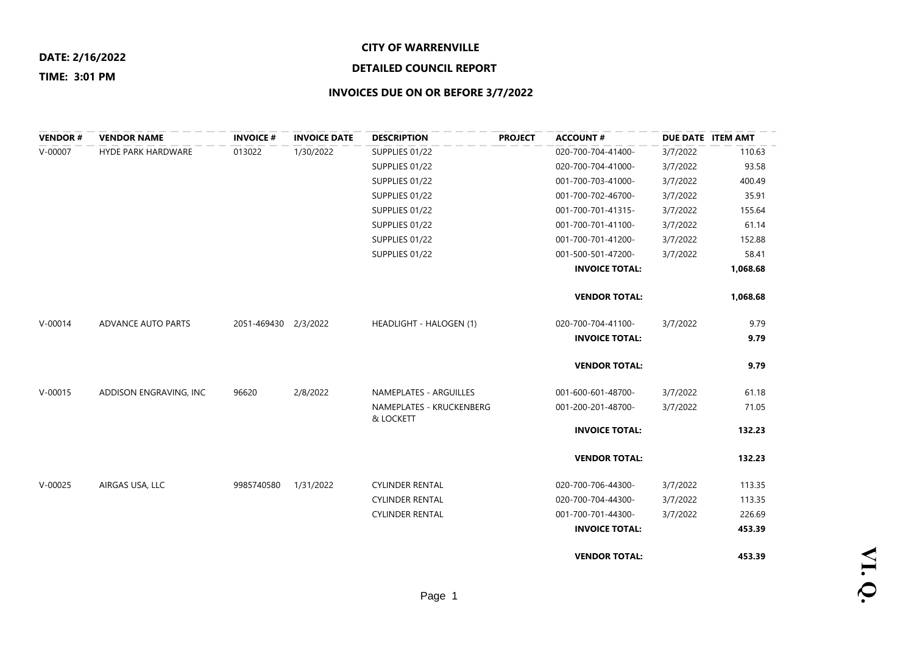#### **CITY OF WARRENVILLE**

## **DETAILED COUNCIL REPORT**

#### **TIME: 3:01 PM**

| <b>VENDOR#</b> | <b>VENDOR NAME</b>        | <b>INVOICE #</b>     | <b>INVOICE DATE</b> | <b>DESCRIPTION</b>                    | <b>PROJECT</b> | <b>ACCOUNT#</b>       | DUE DATE ITEM AMT |          |
|----------------|---------------------------|----------------------|---------------------|---------------------------------------|----------------|-----------------------|-------------------|----------|
| $V-00007$      | <b>HYDE PARK HARDWARE</b> | 013022               | 1/30/2022           | SUPPLIES 01/22                        |                | 020-700-704-41400-    | 3/7/2022          | 110.63   |
|                |                           |                      |                     | SUPPLIES 01/22                        |                | 020-700-704-41000-    | 3/7/2022          | 93.58    |
|                |                           |                      |                     | SUPPLIES 01/22                        |                | 001-700-703-41000-    | 3/7/2022          | 400.49   |
|                |                           |                      |                     | SUPPLIES 01/22                        |                | 001-700-702-46700-    | 3/7/2022          | 35.91    |
|                |                           |                      |                     | SUPPLIES 01/22                        |                | 001-700-701-41315-    | 3/7/2022          | 155.64   |
|                |                           |                      |                     | SUPPLIES 01/22                        |                | 001-700-701-41100-    | 3/7/2022          | 61.14    |
|                |                           |                      |                     | SUPPLIES 01/22                        |                | 001-700-701-41200-    | 3/7/2022          | 152.88   |
|                |                           |                      |                     | SUPPLIES 01/22                        |                | 001-500-501-47200-    | 3/7/2022          | 58.41    |
|                |                           |                      |                     |                                       |                | <b>INVOICE TOTAL:</b> |                   | 1,068.68 |
|                |                           |                      |                     |                                       |                | <b>VENDOR TOTAL:</b>  |                   | 1,068.68 |
| $V - 00014$    | ADVANCE AUTO PARTS        | 2051-469430 2/3/2022 |                     | HEADLIGHT - HALOGEN (1)               |                | 020-700-704-41100-    | 3/7/2022          | 9.79     |
|                |                           |                      |                     |                                       |                | <b>INVOICE TOTAL:</b> |                   | 9.79     |
|                |                           |                      |                     |                                       |                | <b>VENDOR TOTAL:</b>  |                   | 9.79     |
| $V - 00015$    | ADDISON ENGRAVING, INC    | 96620                | 2/8/2022            | NAMEPLATES - ARGUILLES                |                | 001-600-601-48700-    | 3/7/2022          | 61.18    |
|                |                           |                      |                     | NAMEPLATES - KRUCKENBERG<br>& LOCKETT |                | 001-200-201-48700-    | 3/7/2022          | 71.05    |
|                |                           |                      |                     |                                       |                | <b>INVOICE TOTAL:</b> |                   | 132.23   |
|                |                           |                      |                     |                                       |                | <b>VENDOR TOTAL:</b>  |                   | 132.23   |
| $V-00025$      | AIRGAS USA, LLC           | 9985740580           | 1/31/2022           | <b>CYLINDER RENTAL</b>                |                | 020-700-706-44300-    | 3/7/2022          | 113.35   |
|                |                           |                      |                     | <b>CYLINDER RENTAL</b>                |                | 020-700-704-44300-    | 3/7/2022          | 113.35   |
|                |                           |                      |                     | <b>CYLINDER RENTAL</b>                |                | 001-700-701-44300-    | 3/7/2022          | 226.69   |
|                |                           |                      |                     |                                       |                | <b>INVOICE TOTAL:</b> |                   | 453.39   |
|                |                           |                      |                     |                                       |                | <b>VENDOR TOTAL:</b>  |                   | 453.39   |

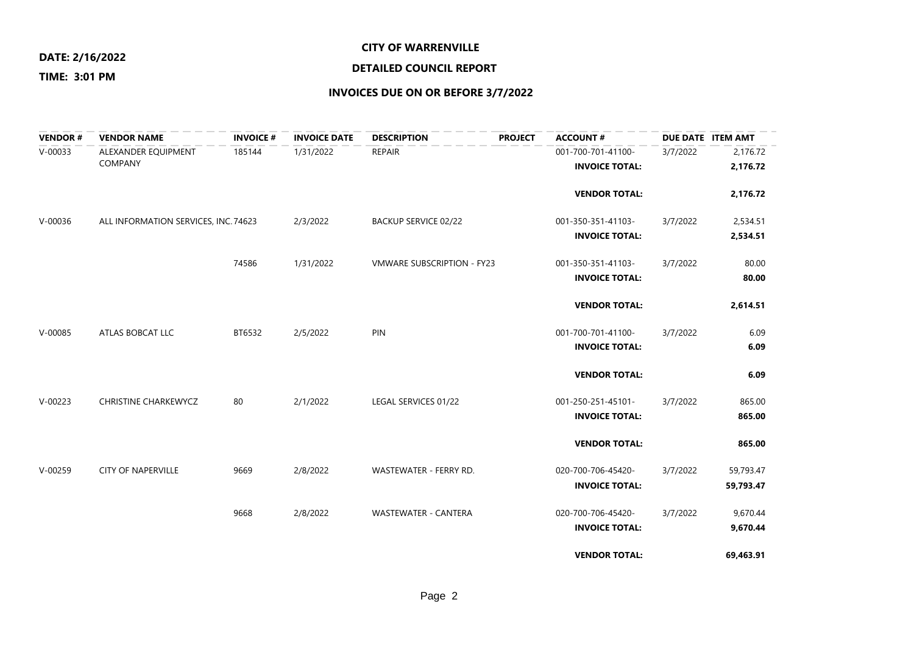#### **CITY OF WARRENVILLE**

#### **TIME: 3:01 PM**

## **DETAILED COUNCIL REPORT**

## **INVOICES DUE ON OR BEFORE 3/7/2022**

\_\_\_\_\_\_\_\_\_\_\_\_\_\_\_\_\_\_\_\_

| <b>VENDOR#</b> | <b>VENDOR NAME</b>                    | <b>INVOICE#</b> | <b>INVOICE DATE</b> | <b>DESCRIPTION</b>                | <b>PROJECT</b> | <b>ACCOUNT#</b>                             |          | DUE DATE ITEM AMT      |
|----------------|---------------------------------------|-----------------|---------------------|-----------------------------------|----------------|---------------------------------------------|----------|------------------------|
| $V-00033$      | ALEXANDER EQUIPMENT<br><b>COMPANY</b> | 185144          | 1/31/2022           | <b>REPAIR</b>                     |                | 001-700-701-41100-<br><b>INVOICE TOTAL:</b> | 3/7/2022 | 2,176.72<br>2,176.72   |
|                |                                       |                 |                     |                                   |                | <b>VENDOR TOTAL:</b>                        |          | 2,176.72               |
| $V-00036$      | ALL INFORMATION SERVICES, INC. 74623  |                 | 2/3/2022            | <b>BACKUP SERVICE 02/22</b>       |                | 001-350-351-41103-<br><b>INVOICE TOTAL:</b> | 3/7/2022 | 2,534.51<br>2,534.51   |
|                |                                       | 74586           | 1/31/2022           | <b>VMWARE SUBSCRIPTION - FY23</b> |                | 001-350-351-41103-<br><b>INVOICE TOTAL:</b> | 3/7/2022 | 80.00<br>80.00         |
|                |                                       |                 |                     |                                   |                | <b>VENDOR TOTAL:</b>                        |          | 2,614.51               |
| $V-00085$      | ATLAS BOBCAT LLC                      | BT6532          | 2/5/2022            | PIN                               |                | 001-700-701-41100-<br><b>INVOICE TOTAL:</b> | 3/7/2022 | 6.09<br>6.09           |
|                |                                       |                 |                     |                                   |                | <b>VENDOR TOTAL:</b>                        |          | 6.09                   |
| $V-00223$      | <b>CHRISTINE CHARKEWYCZ</b>           | 80              | 2/1/2022            | LEGAL SERVICES 01/22              |                | 001-250-251-45101-<br><b>INVOICE TOTAL:</b> | 3/7/2022 | 865.00<br>865.00       |
|                |                                       |                 |                     |                                   |                | <b>VENDOR TOTAL:</b>                        |          | 865.00                 |
| $V-00259$      | <b>CITY OF NAPERVILLE</b>             | 9669            | 2/8/2022            | WASTEWATER - FERRY RD.            |                | 020-700-706-45420-<br><b>INVOICE TOTAL:</b> | 3/7/2022 | 59,793.47<br>59,793.47 |
|                |                                       | 9668            | 2/8/2022            | <b>WASTEWATER - CANTERA</b>       |                | 020-700-706-45420-<br><b>INVOICE TOTAL:</b> | 3/7/2022 | 9,670.44<br>9,670.44   |
|                |                                       |                 |                     |                                   |                | <b>VENDOR TOTAL:</b>                        |          | 69,463.91              |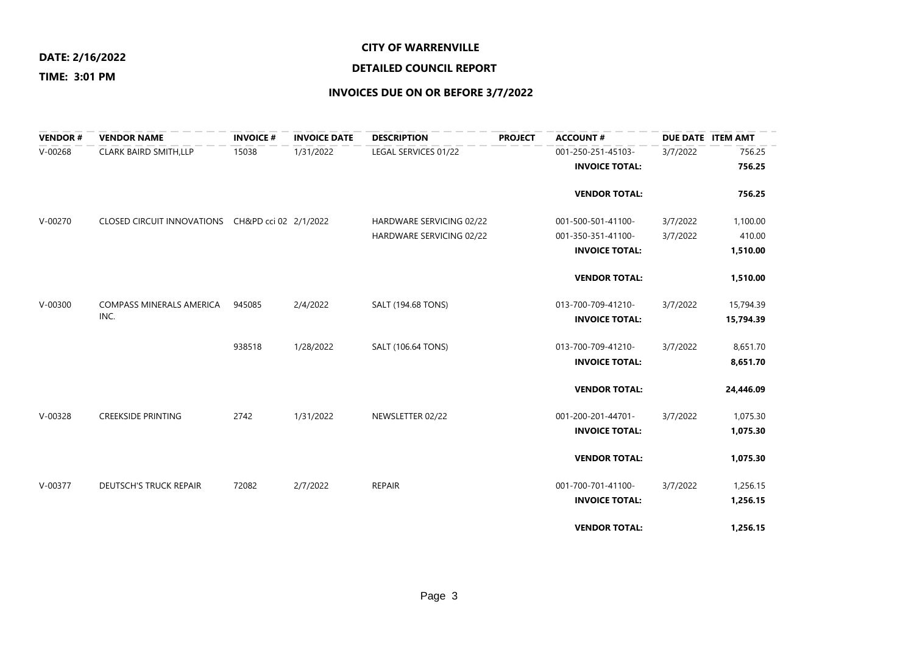### **DATE: 2/16/2022**

#### **TIME: 3:01 PM**

## **DETAILED COUNCIL REPORT**

| <b>VENDOR#</b> | <b>VENDOR NAME</b>                               | <b>INVOICE #</b> | <b>INVOICE DATE</b> | <b>DESCRIPTION</b>       | <b>PROJECT</b> | <b>ACCOUNT#</b>       | DUE DATE ITEM AMT |           |
|----------------|--------------------------------------------------|------------------|---------------------|--------------------------|----------------|-----------------------|-------------------|-----------|
| $V-00268$      | <b>CLARK BAIRD SMITH, LLP</b>                    | 15038            | 1/31/2022           | LEGAL SERVICES 01/22     |                | 001-250-251-45103-    | 3/7/2022          | 756.25    |
|                |                                                  |                  |                     |                          |                | <b>INVOICE TOTAL:</b> |                   | 756.25    |
|                |                                                  |                  |                     |                          |                | <b>VENDOR TOTAL:</b>  |                   | 756.25    |
| $V-00270$      | CLOSED CIRCUIT INNOVATIONS CH&PD cci 02 2/1/2022 |                  |                     | HARDWARE SERVICING 02/22 |                | 001-500-501-41100-    | 3/7/2022          | 1,100.00  |
|                |                                                  |                  |                     | HARDWARE SERVICING 02/22 |                | 001-350-351-41100-    | 3/7/2022          | 410.00    |
|                |                                                  |                  |                     |                          |                | <b>INVOICE TOTAL:</b> |                   | 1,510.00  |
|                |                                                  |                  |                     |                          |                | <b>VENDOR TOTAL:</b>  |                   | 1,510.00  |
| $V - 00300$    | <b>COMPASS MINERALS AMERICA</b>                  | 945085           | 2/4/2022            | SALT (194.68 TONS)       |                | 013-700-709-41210-    | 3/7/2022          | 15,794.39 |
|                | INC.                                             |                  |                     |                          |                | <b>INVOICE TOTAL:</b> |                   | 15,794.39 |
|                |                                                  | 938518           | 1/28/2022           | SALT (106.64 TONS)       |                | 013-700-709-41210-    | 3/7/2022          | 8,651.70  |
|                |                                                  |                  |                     |                          |                | <b>INVOICE TOTAL:</b> |                   | 8,651.70  |
|                |                                                  |                  |                     |                          |                | <b>VENDOR TOTAL:</b>  |                   | 24,446.09 |
| $V-00328$      | <b>CREEKSIDE PRINTING</b>                        | 2742             | 1/31/2022           | NEWSLETTER 02/22         |                | 001-200-201-44701-    | 3/7/2022          | 1,075.30  |
|                |                                                  |                  |                     |                          |                | <b>INVOICE TOTAL:</b> |                   | 1,075.30  |
|                |                                                  |                  |                     |                          |                | <b>VENDOR TOTAL:</b>  |                   | 1,075.30  |
| $V - 00377$    | <b>DEUTSCH'S TRUCK REPAIR</b>                    | 72082            | 2/7/2022            | REPAIR                   |                | 001-700-701-41100-    | 3/7/2022          | 1,256.15  |
|                |                                                  |                  |                     |                          |                | <b>INVOICE TOTAL:</b> |                   | 1,256.15  |
|                |                                                  |                  |                     |                          |                | <b>VENDOR TOTAL:</b>  |                   | 1,256.15  |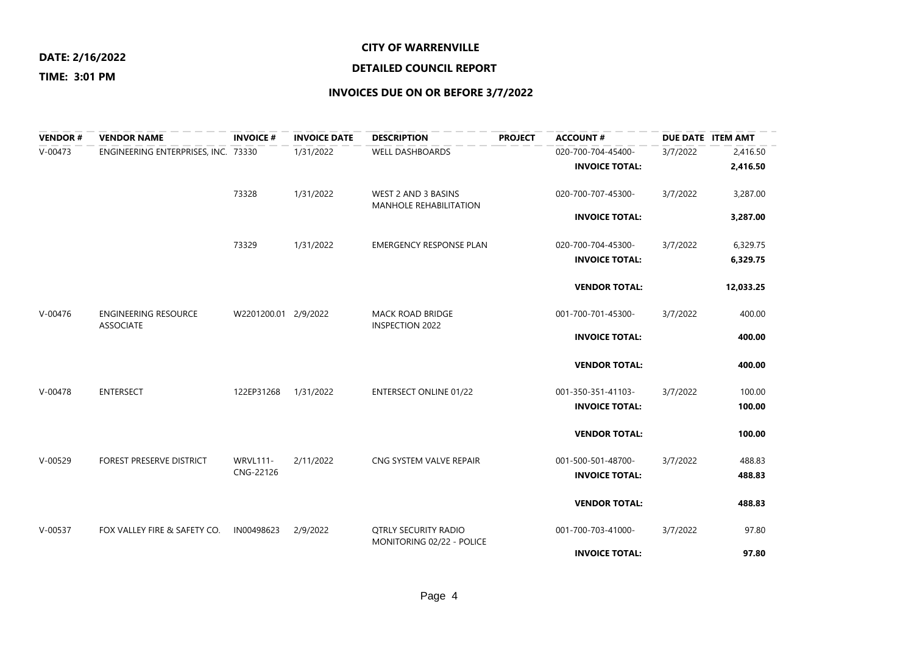#### **CITY OF WARRENVILLE**

#### **TIME: 3:01 PM**

# **DETAILED COUNCIL REPORT**

| <b>VENDOR#</b> | <b>VENDOR NAME</b>                              | <b>INVOICE #</b>     | <b>INVOICE DATE</b> | <b>DESCRIPTION</b>                                       | <b>PROJECT</b> | <b>ACCOUNT#</b>       |          | DUE DATE ITEM AMT |
|----------------|-------------------------------------------------|----------------------|---------------------|----------------------------------------------------------|----------------|-----------------------|----------|-------------------|
| $V - 00473$    | ENGINEERING ENTERPRISES, INC. 73330             |                      | 1/31/2022           | <b>WELL DASHBOARDS</b>                                   |                | 020-700-704-45400-    | 3/7/2022 | 2,416.50          |
|                |                                                 |                      |                     |                                                          |                | <b>INVOICE TOTAL:</b> |          | 2,416.50          |
|                |                                                 | 73328                | 1/31/2022           | WEST 2 AND 3 BASINS<br><b>MANHOLE REHABILITATION</b>     |                | 020-700-707-45300-    | 3/7/2022 | 3,287.00          |
|                |                                                 |                      |                     |                                                          |                | <b>INVOICE TOTAL:</b> |          | 3,287.00          |
|                |                                                 | 73329                | 1/31/2022           | <b>EMERGENCY RESPONSE PLAN</b>                           |                | 020-700-704-45300-    | 3/7/2022 | 6,329.75          |
|                |                                                 |                      |                     |                                                          |                | <b>INVOICE TOTAL:</b> |          | 6,329.75          |
|                |                                                 |                      |                     |                                                          |                | <b>VENDOR TOTAL:</b>  |          | 12,033.25         |
| $V - 00476$    | <b>ENGINEERING RESOURCE</b><br><b>ASSOCIATE</b> | W2201200.01 2/9/2022 |                     | <b>MACK ROAD BRIDGE</b><br><b>INSPECTION 2022</b>        |                | 001-700-701-45300-    | 3/7/2022 | 400.00            |
|                |                                                 |                      |                     |                                                          |                | <b>INVOICE TOTAL:</b> |          | 400.00            |
|                |                                                 |                      |                     |                                                          |                | <b>VENDOR TOTAL:</b>  |          | 400.00            |
| $V - 00478$    | <b>ENTERSECT</b>                                | 122EP31268           | 1/31/2022           | <b>ENTERSECT ONLINE 01/22</b>                            |                | 001-350-351-41103-    | 3/7/2022 | 100.00            |
|                |                                                 |                      |                     |                                                          |                | <b>INVOICE TOTAL:</b> |          | 100.00            |
|                |                                                 |                      |                     |                                                          |                | <b>VENDOR TOTAL:</b>  |          | 100.00            |
| $V - 00529$    | <b>FOREST PRESERVE DISTRICT</b>                 | <b>WRVL111-</b>      | 2/11/2022           | CNG SYSTEM VALVE REPAIR                                  |                | 001-500-501-48700-    | 3/7/2022 | 488.83            |
|                |                                                 | CNG-22126            |                     |                                                          |                | <b>INVOICE TOTAL:</b> |          | 488.83            |
|                |                                                 |                      |                     |                                                          |                | <b>VENDOR TOTAL:</b>  |          | 488.83            |
| $V-00537$      | FOX VALLEY FIRE & SAFETY CO.                    | IN00498623           | 2/9/2022            | <b>OTRLY SECURITY RADIO</b><br>MONITORING 02/22 - POLICE |                | 001-700-703-41000-    | 3/7/2022 | 97.80             |
|                |                                                 |                      |                     |                                                          |                | <b>INVOICE TOTAL:</b> |          | 97.80             |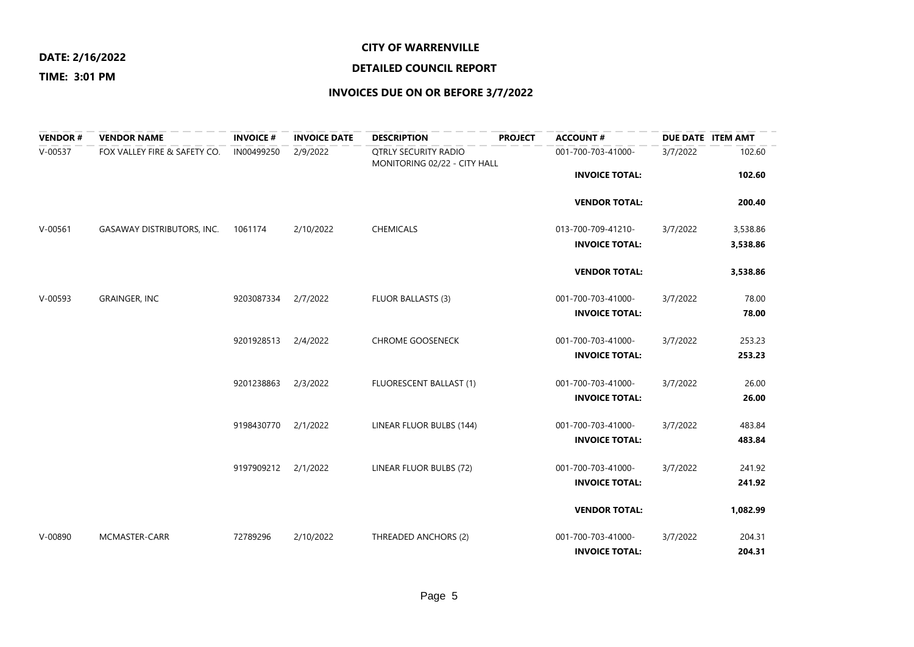### **DATE: 2/16/2022**

### **DETAILED COUNCIL REPORT**

#### **TIME: 3:01 PM**

| <b>VENDOR#</b> | <b>VENDOR NAME</b>           | <b>INVOICE#</b> | <b>INVOICE DATE</b> | <b>DESCRIPTION</b>                                          | <b>PROJECT</b> | <b>ACCOUNT#</b>       |          | DUE DATE ITEM AMT |
|----------------|------------------------------|-----------------|---------------------|-------------------------------------------------------------|----------------|-----------------------|----------|-------------------|
| $V-00537$      | FOX VALLEY FIRE & SAFETY CO. | IN00499250      | 2/9/2022            | <b>QTRLY SECURITY RADIO</b><br>MONITORING 02/22 - CITY HALL |                | 001-700-703-41000-    | 3/7/2022 | 102.60            |
|                |                              |                 |                     |                                                             |                | <b>INVOICE TOTAL:</b> |          | 102.60            |
|                |                              |                 |                     |                                                             |                | <b>VENDOR TOTAL:</b>  |          | 200.40            |
| $V-00561$      | GASAWAY DISTRIBUTORS, INC.   | 1061174         | 2/10/2022           | CHEMICALS                                                   |                | 013-700-709-41210-    | 3/7/2022 | 3,538.86          |
|                |                              |                 |                     |                                                             |                | <b>INVOICE TOTAL:</b> |          | 3,538.86          |
|                |                              |                 |                     |                                                             |                | <b>VENDOR TOTAL:</b>  |          | 3,538.86          |
| $V-00593$      | <b>GRAINGER, INC</b>         | 9203087334      | 2/7/2022            | <b>FLUOR BALLASTS (3)</b>                                   |                | 001-700-703-41000-    | 3/7/2022 | 78.00             |
|                |                              |                 |                     |                                                             |                | <b>INVOICE TOTAL:</b> |          | 78.00             |
|                |                              | 9201928513      | 2/4/2022            | <b>CHROME GOOSENECK</b>                                     |                | 001-700-703-41000-    | 3/7/2022 | 253.23            |
|                |                              |                 |                     |                                                             |                | <b>INVOICE TOTAL:</b> |          | 253.23            |
|                |                              | 9201238863      | 2/3/2022            | FLUORESCENT BALLAST (1)                                     |                | 001-700-703-41000-    | 3/7/2022 | 26.00             |
|                |                              |                 |                     |                                                             |                | <b>INVOICE TOTAL:</b> |          | 26.00             |
|                |                              | 9198430770      | 2/1/2022            | LINEAR FLUOR BULBS (144)                                    |                | 001-700-703-41000-    | 3/7/2022 | 483.84            |
|                |                              |                 |                     |                                                             |                | <b>INVOICE TOTAL:</b> |          | 483.84            |
|                |                              | 9197909212      | 2/1/2022            | LINEAR FLUOR BULBS (72)                                     |                | 001-700-703-41000-    | 3/7/2022 | 241.92            |
|                |                              |                 |                     |                                                             |                | <b>INVOICE TOTAL:</b> |          | 241.92            |
|                |                              |                 |                     |                                                             |                | <b>VENDOR TOTAL:</b>  |          | 1,082.99          |
| $V - 00890$    | MCMASTER-CARR                | 72789296        | 2/10/2022           | THREADED ANCHORS (2)                                        |                | 001-700-703-41000-    | 3/7/2022 | 204.31            |
|                |                              |                 |                     |                                                             |                | <b>INVOICE TOTAL:</b> |          | 204.31            |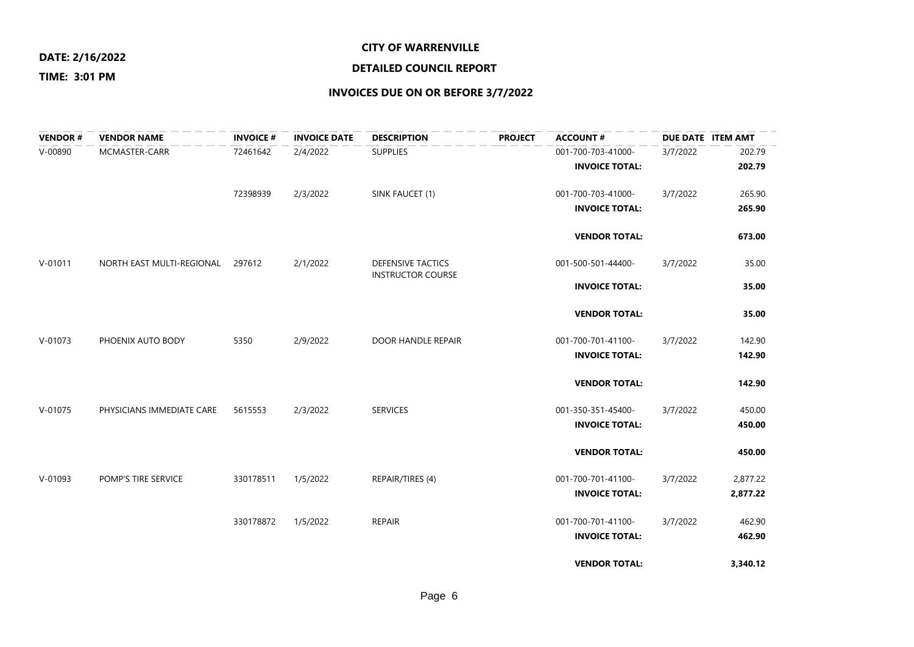### **DATE: 2/16/2022**

### **DETAILED COUNCIL REPORT**

#### **TIME: 3:01 PM**

| <b>VENDOR#</b> | <b>VENDOR NAME</b>        | <b>INVOICE#</b> | <b>INVOICE DATE</b> | <b>DESCRIPTION</b>       | <b>PROJECT</b> | <b>ACCOUNT#</b>       |          | DUE DATE ITEM AMT |
|----------------|---------------------------|-----------------|---------------------|--------------------------|----------------|-----------------------|----------|-------------------|
| $V - 00890$    | MCMASTER-CARR             | 72461642        | 2/4/2022            | <b>SUPPLIES</b>          |                | 001-700-703-41000-    | 3/7/2022 | 202.79            |
|                |                           |                 |                     |                          |                | <b>INVOICE TOTAL:</b> |          | 202.79            |
|                |                           | 72398939        | 2/3/2022            | SINK FAUCET (1)          |                | 001-700-703-41000-    | 3/7/2022 | 265.90            |
|                |                           |                 |                     |                          |                | <b>INVOICE TOTAL:</b> |          | 265.90            |
|                |                           |                 |                     |                          |                | <b>VENDOR TOTAL:</b>  |          | 673.00            |
| $V - 01011$    | NORTH EAST MULTI-REGIONAL | 297612          | 2/1/2022            | <b>DEFENSIVE TACTICS</b> |                | 001-500-501-44400-    | 3/7/2022 | 35.00             |
|                |                           |                 |                     | <b>INSTRUCTOR COURSE</b> |                | <b>INVOICE TOTAL:</b> |          | 35.00             |
|                |                           |                 |                     |                          |                | <b>VENDOR TOTAL:</b>  |          | 35.00             |
| $V-01073$      | PHOENIX AUTO BODY         | 5350            | 2/9/2022            | DOOR HANDLE REPAIR       |                | 001-700-701-41100-    | 3/7/2022 | 142.90            |
|                |                           |                 |                     |                          |                | <b>INVOICE TOTAL:</b> |          | 142.90            |
|                |                           |                 |                     |                          |                | <b>VENDOR TOTAL:</b>  |          | 142.90            |
| $V-01075$      | PHYSICIANS IMMEDIATE CARE | 5615553         | 2/3/2022            | <b>SERVICES</b>          |                | 001-350-351-45400-    | 3/7/2022 | 450.00            |
|                |                           |                 |                     |                          |                | <b>INVOICE TOTAL:</b> |          | 450.00            |
|                |                           |                 |                     |                          |                | <b>VENDOR TOTAL:</b>  |          | 450.00            |
| $V-01093$      | POMP'S TIRE SERVICE       | 330178511       | 1/5/2022            | REPAIR/TIRES (4)         |                | 001-700-701-41100-    | 3/7/2022 | 2,877.22          |
|                |                           |                 |                     |                          |                | <b>INVOICE TOTAL:</b> |          | 2,877.22          |
|                |                           | 330178872       | 1/5/2022            | <b>REPAIR</b>            |                | 001-700-701-41100-    | 3/7/2022 | 462.90            |
|                |                           |                 |                     |                          |                | <b>INVOICE TOTAL:</b> |          | 462.90            |
|                |                           |                 |                     |                          |                | <b>VENDOR TOTAL:</b>  |          | 3,340.12          |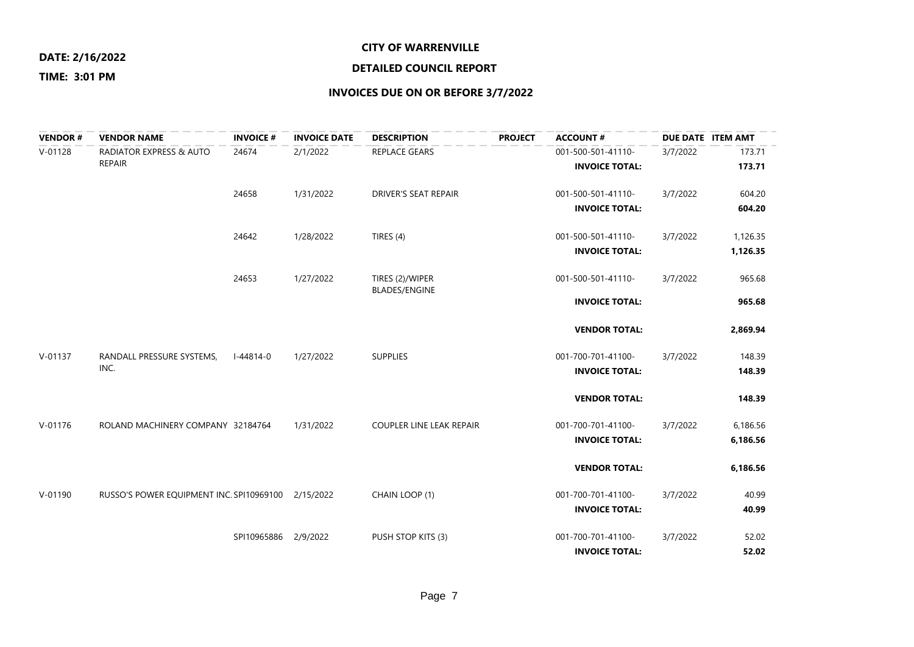#### **CITY OF WARRENVILLE**

#### **TIME: 3:01 PM**

## **DETAILED COUNCIL REPORT**

### **INVOICES DUE ON OR BEFORE 3/7/2022**

\_\_\_\_\_\_\_\_\_\_\_\_\_\_\_\_\_\_\_\_\_

| <b>VENDOR#</b> | <b>VENDOR NAME</b>                                 | <b>INVOICE#</b>      | <b>INVOICE DATE</b> | <b>DESCRIPTION</b>          | <b>PROJECT</b> | <b>ACCOUNT#</b>       | DUE DATE ITEM AMT |          |
|----------------|----------------------------------------------------|----------------------|---------------------|-----------------------------|----------------|-----------------------|-------------------|----------|
| $V-01128$      | <b>RADIATOR EXPRESS &amp; AUTO</b>                 | 24674                | 2/1/2022            | <b>REPLACE GEARS</b>        |                | 001-500-501-41110-    | 3/7/2022          | 173.71   |
|                | <b>REPAIR</b>                                      |                      |                     |                             |                | <b>INVOICE TOTAL:</b> |                   | 173.71   |
|                |                                                    | 24658                | 1/31/2022           | <b>DRIVER'S SEAT REPAIR</b> |                | 001-500-501-41110-    | 3/7/2022          | 604.20   |
|                |                                                    |                      |                     |                             |                | <b>INVOICE TOTAL:</b> |                   | 604.20   |
|                |                                                    | 24642                | 1/28/2022           | TIRES (4)                   |                | 001-500-501-41110-    | 3/7/2022          | 1,126.35 |
|                |                                                    |                      |                     |                             |                | <b>INVOICE TOTAL:</b> |                   | 1,126.35 |
|                |                                                    | 24653                | 1/27/2022           | TIRES (2)/WIPER             |                | 001-500-501-41110-    | 3/7/2022          | 965.68   |
|                |                                                    |                      |                     | <b>BLADES/ENGINE</b>        |                | <b>INVOICE TOTAL:</b> |                   | 965.68   |
|                |                                                    |                      |                     |                             |                |                       |                   |          |
|                |                                                    |                      |                     |                             |                | <b>VENDOR TOTAL:</b>  |                   | 2,869.94 |
| V-01137        | RANDALL PRESSURE SYSTEMS,                          | $I - 44814 - 0$      | 1/27/2022           | <b>SUPPLIES</b>             |                | 001-700-701-41100-    | 3/7/2022          | 148.39   |
|                | INC.                                               |                      |                     |                             |                | <b>INVOICE TOTAL:</b> |                   | 148.39   |
|                |                                                    |                      |                     |                             |                | <b>VENDOR TOTAL:</b>  |                   | 148.39   |
| $V - 01176$    | ROLAND MACHINERY COMPANY 32184764                  |                      | 1/31/2022           | COUPLER LINE LEAK REPAIR    |                | 001-700-701-41100-    | 3/7/2022          | 6,186.56 |
|                |                                                    |                      |                     |                             |                | <b>INVOICE TOTAL:</b> |                   | 6,186.56 |
|                |                                                    |                      |                     |                             |                | <b>VENDOR TOTAL:</b>  |                   | 6,186.56 |
| $V-01190$      | RUSSO'S POWER EQUIPMENT INC. SPI10969100 2/15/2022 |                      |                     | CHAIN LOOP (1)              |                | 001-700-701-41100-    | 3/7/2022          | 40.99    |
|                |                                                    |                      |                     |                             |                | <b>INVOICE TOTAL:</b> |                   | 40.99    |
|                |                                                    | SPI10965886 2/9/2022 |                     | PUSH STOP KITS (3)          |                | 001-700-701-41100-    | 3/7/2022          | 52.02    |
|                |                                                    |                      |                     |                             |                | <b>INVOICE TOTAL:</b> |                   | 52.02    |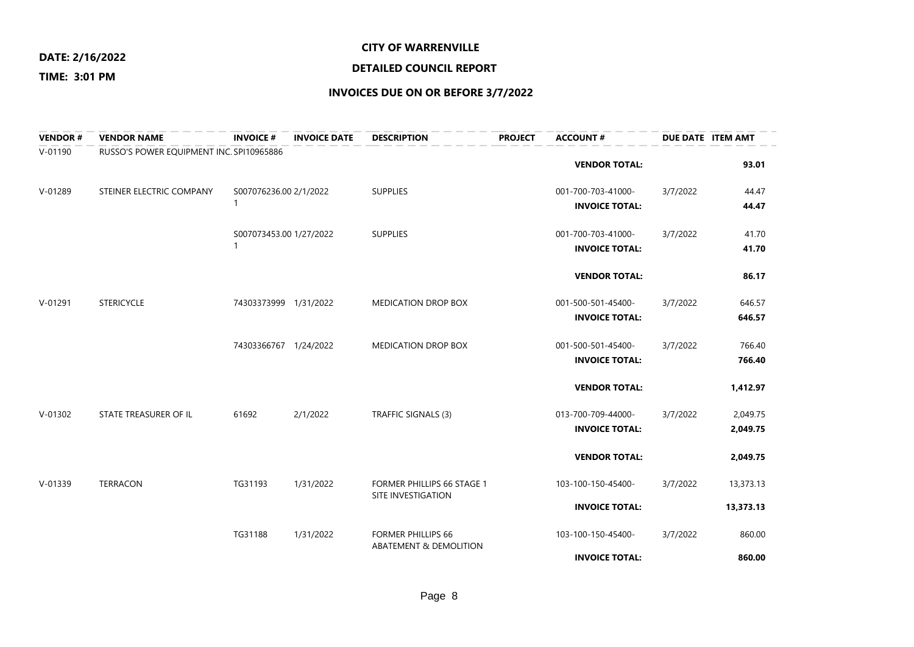#### **CITY OF WARRENVILLE**

#### **TIME: 3:01 PM**

## **DETAILED COUNCIL REPORT**

| <b>VENDOR#</b> | <b>VENDOR NAME</b>                       | <b>INVOICE #</b>             | <b>INVOICE DATE</b> | <b>DESCRIPTION</b>                                  | <b>PROJECT</b> | <b>ACCOUNT#</b>                             | DUE DATE ITEM AMT |                      |
|----------------|------------------------------------------|------------------------------|---------------------|-----------------------------------------------------|----------------|---------------------------------------------|-------------------|----------------------|
| $V - 01190$    | RUSSO'S POWER EQUIPMENT INC. SPI10965886 |                              |                     |                                                     |                | <b>VENDOR TOTAL:</b>                        |                   | 93.01                |
| V-01289        | STEINER ELECTRIC COMPANY                 | S007076236.00 2/1/2022<br>1  |                     | <b>SUPPLIES</b>                                     |                | 001-700-703-41000-<br><b>INVOICE TOTAL:</b> | 3/7/2022          | 44.47<br>44.47       |
|                |                                          | S007073453.00 1/27/2022<br>1 |                     | <b>SUPPLIES</b>                                     |                | 001-700-703-41000-<br><b>INVOICE TOTAL:</b> | 3/7/2022          | 41.70<br>41.70       |
|                |                                          |                              |                     |                                                     |                | <b>VENDOR TOTAL:</b>                        |                   | 86.17                |
| V-01291        | <b>STERICYCLE</b>                        | 74303373999 1/31/2022        |                     | <b>MEDICATION DROP BOX</b>                          |                | 001-500-501-45400-<br><b>INVOICE TOTAL:</b> | 3/7/2022          | 646.57<br>646.57     |
|                |                                          | 74303366767 1/24/2022        |                     | <b>MEDICATION DROP BOX</b>                          |                | 001-500-501-45400-<br><b>INVOICE TOTAL:</b> | 3/7/2022          | 766.40<br>766.40     |
|                |                                          |                              |                     |                                                     |                | <b>VENDOR TOTAL:</b>                        |                   | 1,412.97             |
| $V-01302$      | STATE TREASURER OF IL                    | 61692                        | 2/1/2022            | TRAFFIC SIGNALS (3)                                 |                | 013-700-709-44000-<br><b>INVOICE TOTAL:</b> | 3/7/2022          | 2,049.75<br>2,049.75 |
|                |                                          |                              |                     |                                                     |                | <b>VENDOR TOTAL:</b>                        |                   | 2,049.75             |
| $V-01339$      | <b>TERRACON</b>                          | TG31193                      | 1/31/2022           | FORMER PHILLIPS 66 STAGE 1<br>SITE INVESTIGATION    |                | 103-100-150-45400-                          | 3/7/2022          | 13,373.13            |
|                |                                          |                              |                     |                                                     |                | <b>INVOICE TOTAL:</b>                       |                   | 13,373.13            |
|                |                                          | TG31188                      | 1/31/2022           | <b>FORMER PHILLIPS 66</b><br>ABATEMENT & DEMOLITION |                | 103-100-150-45400-<br><b>INVOICE TOTAL:</b> | 3/7/2022          | 860.00<br>860.00     |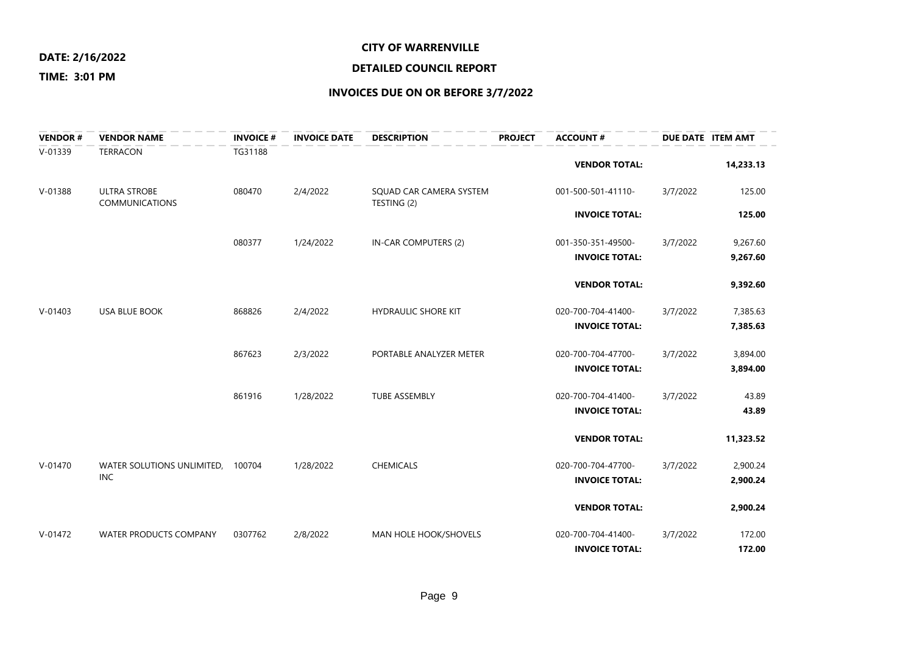#### **CITY OF WARRENVILLE**

# **DETAILED COUNCIL REPORT**

### **TIME: 3:01 PM**

| <b>VENDOR#</b> | <b>VENDOR NAME</b>                | <b>INVOICE #</b> | <b>INVOICE DATE</b> | <b>DESCRIPTION</b>         | <b>PROJECT</b> | <b>ACCOUNT #</b>      | DUE DATE ITEM AMT |           |
|----------------|-----------------------------------|------------------|---------------------|----------------------------|----------------|-----------------------|-------------------|-----------|
| $V-01339$      | <b>TERRACON</b>                   | TG31188          |                     |                            |                | <b>VENDOR TOTAL:</b>  |                   | 14,233.13 |
| $V-01388$      | <b>ULTRA STROBE</b>               | 080470           | 2/4/2022            | SQUAD CAR CAMERA SYSTEM    |                | 001-500-501-41110-    | 3/7/2022          | 125.00    |
|                | <b>COMMUNICATIONS</b>             |                  |                     | TESTING (2)                |                | <b>INVOICE TOTAL:</b> |                   | 125.00    |
|                |                                   | 080377           | 1/24/2022           | IN-CAR COMPUTERS (2)       |                | 001-350-351-49500-    | 3/7/2022          | 9,267.60  |
|                |                                   |                  |                     |                            |                | <b>INVOICE TOTAL:</b> |                   | 9,267.60  |
|                |                                   |                  |                     |                            |                | <b>VENDOR TOTAL:</b>  |                   | 9,392.60  |
| $V - 01403$    | <b>USA BLUE BOOK</b>              | 868826           | 2/4/2022            | <b>HYDRAULIC SHORE KIT</b> |                | 020-700-704-41400-    | 3/7/2022          | 7,385.63  |
|                |                                   |                  |                     |                            |                | <b>INVOICE TOTAL:</b> |                   | 7,385.63  |
|                |                                   | 867623           | 2/3/2022            | PORTABLE ANALYZER METER    |                | 020-700-704-47700-    | 3/7/2022          | 3,894.00  |
|                |                                   |                  |                     |                            |                | <b>INVOICE TOTAL:</b> |                   | 3,894.00  |
|                |                                   | 861916           | 1/28/2022           | <b>TUBE ASSEMBLY</b>       |                | 020-700-704-41400-    | 3/7/2022          | 43.89     |
|                |                                   |                  |                     |                            |                | <b>INVOICE TOTAL:</b> |                   | 43.89     |
|                |                                   |                  |                     |                            |                | <b>VENDOR TOTAL:</b>  |                   | 11,323.52 |
| $V - 01470$    | WATER SOLUTIONS UNLIMITED, 100704 |                  | 1/28/2022           | <b>CHEMICALS</b>           |                | 020-700-704-47700-    | 3/7/2022          | 2,900.24  |
|                | <b>INC</b>                        |                  |                     |                            |                | <b>INVOICE TOTAL:</b> |                   | 2,900.24  |
|                |                                   |                  |                     |                            |                | <b>VENDOR TOTAL:</b>  |                   | 2,900.24  |
| $V-01472$      | <b>WATER PRODUCTS COMPANY</b>     | 0307762          | 2/8/2022            | MAN HOLE HOOK/SHOVELS      |                | 020-700-704-41400-    | 3/7/2022          | 172.00    |
|                |                                   |                  |                     |                            |                | <b>INVOICE TOTAL:</b> |                   | 172.00    |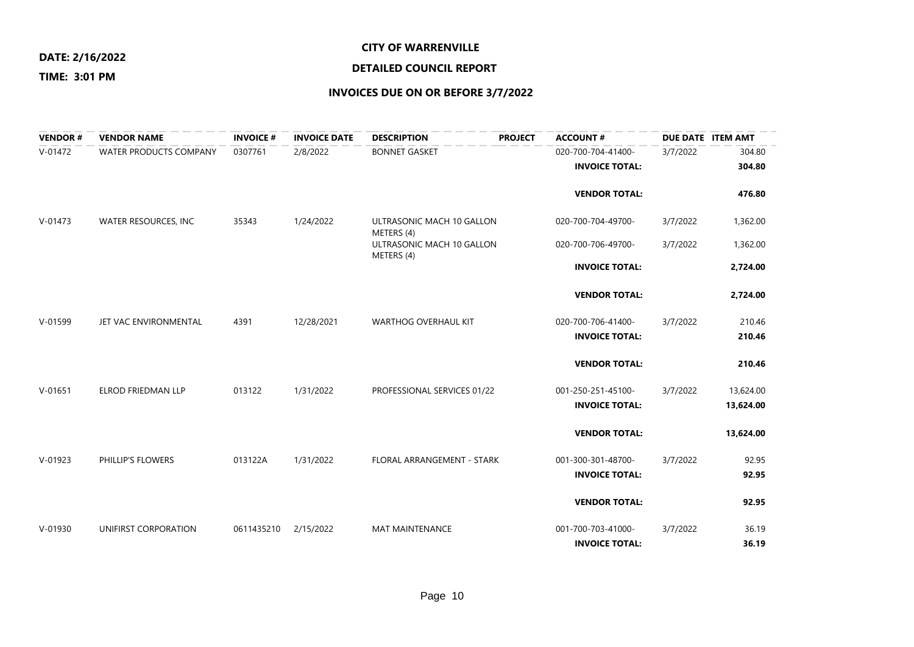#### **CITY OF WARRENVILLE**

#### **TIME: 3:01 PM**

## **DETAILED COUNCIL REPORT**

| <b>VENDOR#</b> | <b>VENDOR NAME</b>     | <b>INVOICE#</b> | <b>INVOICE DATE</b> | <b>DESCRIPTION</b>                      | <b>PROJECT</b> | <b>ACCOUNT#</b>       |          | DUE DATE ITEM AMT |
|----------------|------------------------|-----------------|---------------------|-----------------------------------------|----------------|-----------------------|----------|-------------------|
| $V-01472$      | WATER PRODUCTS COMPANY | 0307761         | 2/8/2022            | <b>BONNET GASKET</b>                    |                | 020-700-704-41400-    | 3/7/2022 | 304.80            |
|                |                        |                 |                     |                                         |                | <b>INVOICE TOTAL:</b> |          | 304.80            |
|                |                        |                 |                     |                                         |                | <b>VENDOR TOTAL:</b>  |          | 476.80            |
|                |                        |                 |                     |                                         |                |                       |          |                   |
| $V - 01473$    | WATER RESOURCES, INC   | 35343           | 1/24/2022           | ULTRASONIC MACH 10 GALLON<br>METERS (4) |                | 020-700-704-49700-    | 3/7/2022 | 1,362.00          |
|                |                        |                 |                     | ULTRASONIC MACH 10 GALLON<br>METERS (4) |                | 020-700-706-49700-    | 3/7/2022 | 1,362.00          |
|                |                        |                 |                     |                                         |                | <b>INVOICE TOTAL:</b> |          | 2,724.00          |
|                |                        |                 |                     |                                         |                | <b>VENDOR TOTAL:</b>  |          | 2,724.00          |
| $V - 01599$    | JET VAC ENVIRONMENTAL  | 4391            | 12/28/2021          | <b>WARTHOG OVERHAUL KIT</b>             |                | 020-700-706-41400-    | 3/7/2022 | 210.46            |
|                |                        |                 |                     |                                         |                | <b>INVOICE TOTAL:</b> |          | 210.46            |
|                |                        |                 |                     |                                         |                |                       |          |                   |
|                |                        |                 |                     |                                         |                | <b>VENDOR TOTAL:</b>  |          | 210.46            |
| $V-01651$      | ELROD FRIEDMAN LLP     | 013122          | 1/31/2022           | PROFESSIONAL SERVICES 01/22             |                | 001-250-251-45100-    | 3/7/2022 | 13,624.00         |
|                |                        |                 |                     |                                         |                | <b>INVOICE TOTAL:</b> |          | 13,624.00         |
|                |                        |                 |                     |                                         |                | <b>VENDOR TOTAL:</b>  |          | 13,624.00         |
| $V-01923$      | PHILLIP'S FLOWERS      | 013122A         | 1/31/2022           | FLORAL ARRANGEMENT - STARK              |                | 001-300-301-48700-    | 3/7/2022 | 92.95             |
|                |                        |                 |                     |                                         |                | <b>INVOICE TOTAL:</b> |          | 92.95             |
|                |                        |                 |                     |                                         |                | <b>VENDOR TOTAL:</b>  |          | 92.95             |
| V-01930        | UNIFIRST CORPORATION   | 0611435210      | 2/15/2022           | <b>MAT MAINTENANCE</b>                  |                | 001-700-703-41000-    | 3/7/2022 | 36.19             |
|                |                        |                 |                     |                                         |                | <b>INVOICE TOTAL:</b> |          | 36.19             |